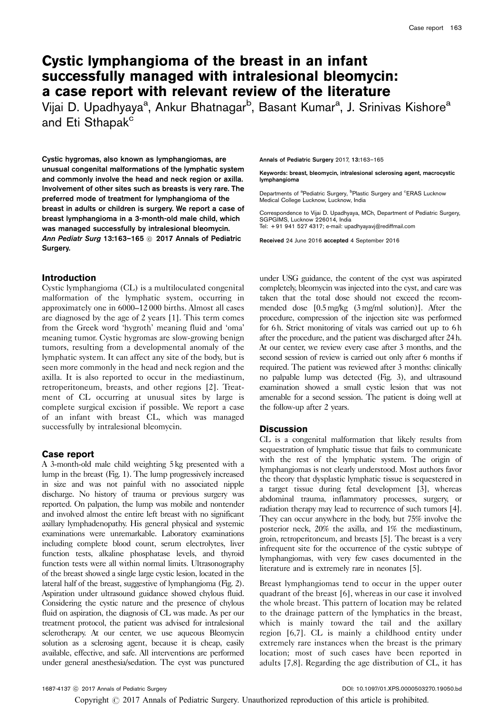# Cystic lymphangioma of the breast in an infant successfully managed with intralesional bleomycin: a case report with relevant review of the literature

Vijai D. Upadhyaya<sup>a</sup>, Ankur Bhatnagar<sup>b</sup>, Basant Kumar<sup>a</sup>, J. Srinivas Kishore<sup>a</sup> and Eti Sthapak<sup>c</sup>

Cystic hygromas, also known as lymphangiomas, are unusual congenital malformations of the lymphatic system and commonly involve the head and neck region or axilla. Involvement of other sites such as breasts is very rare. The preferred mode of treatment for lymphangioma of the breast in adults or children is surgery. We report a case of breast lymphangioma in a 3-month-old male child, which was managed successfully by intralesional bleomycin. Ann Pediatr Surg 13:163–165  $\circledcirc$  2017 Annals of Pediatric Surgery.

## Introduction

Cystic lymphangioma (CL) is a multiloculated congenital malformation of the lymphatic system, occurring in approximately one in 6000–12 000 births. Almost all cases are diagnosed by the age of 2 years [\[1\]](#page-2-0). This term comes from the Greek word 'hygroth' meaning fluid and 'oma' meaning tumor. Cystic hygromas are slow-growing benign tumors, resulting from a developmental anomaly of the lymphatic system. It can affect any site of the body, but is seen more commonly in the head and neck region and the axilla. It is also reported to occur in the mediastinum, retroperitoneum, breasts, and other regions [\[2\]](#page-2-0). Treatment of CL occurring at unusual sites by large is complete surgical excision if possible. We report a case of an infant with breast CL, which was managed successfully by intralesional bleomycin.

## Case report

A 3-month-old male child weighting 5 kg presented with a lump in the breast [\(Fig. 1](#page-1-0)). The lump progressively increased in size and was not painful with no associated nipple discharge. No history of trauma or previous surgery was reported. On palpation, the lump was mobile and nontender and involved almost the entire left breast with no significant axillary lymphadenopathy. His general physical and systemic examinations were unremarkable. Laboratory examinations including complete blood count, serum electrolytes, liver function tests, alkaline phosphatase levels, and thyroid function tests were all within normal limits. Ultrasonography of the breast showed a single large cystic lesion, located in the lateral half of the breast, suggestive of lymphangioma [\(Fig. 2](#page-1-0)). Aspiration under ultrasound guidance showed chylous fluid. Considering the cystic nature and the presence of chylous fluid on aspiration, the diagnosis of CL was made. As per our treatment protocol, the patient was advised for intralesional sclerotherapy. At our center, we use aqueous Bleomycin solution as a sclerosing agent, because it is cheap, easily available, effective, and safe. All interventions are performed under general anesthesia/sedation. The cyst was punctured Annals of Pediatric Surgery 2017, 13:163–165

Keywords: breast, bleomycin, intralesional sclerosing agent, macrocystic lymphangioma

Departments of <sup>a</sup>Pediatric Surgery, <sup>b</sup>Plastic Surgery and <sup>c</sup>ERAS Lucknow Medical College Lucknow, Lucknow, India

Correspondence to Vijai D. Upadhyaya, MCh, Department of Pediatric Surgery, SGPGIMS, Lucknow 226014, India Tel: + 91 941 527 4317; e-mail: [upadhyayavj@rediffmail.com](mailto:upadhyayavj@rediffmail.com)

Received 24 June 2016 accepted 4 September 2016

under USG guidance, the content of the cyst was aspirated completely, bleomycin was injected into the cyst, and care was taken that the total dose should not exceed the recommended dose [0.5mg/kg (3mg/ml solution)]. After the procedure, compression of the injection site was performed for 6h. Strict monitoring of vitals was carried out up to 6h after the procedure, and the patient was discharged after 24 h. At our center, we review every case after 3 months, and the second session of review is carried out only after 6 months if required. The patient was reviewed after 3 months: clinically no palpable lump was detected [\(Fig. 3](#page-1-0)), and ultrasound examination showed a small cystic lesion that was not amenable for a second session. The patient is doing well at the follow-up after 2 years.

## **Discussion**

CL is a congenital malformation that likely results from sequestration of lymphatic tissue that fails to communicate with the rest of the lymphatic system. The origin of lymphangiomas is not clearly understood. Most authors favor the theory that dysplastic lymphatic tissue is sequestered in a target tissue during fetal development [\[3\]](#page-2-0), whereas abdominal trauma, inflammatory processes, surgery, or radiation therapy may lead to recurrence of such tumors [\[4](#page-2-0)]. They can occur anywhere in the body, but 75% involve the posterior neck, 20% the axilla, and 1% the mediastinum, groin, retroperitoneum, and breasts [\[5\]](#page-2-0). The breast is a very infrequent site for the occurrence of the cystic subtype of lymphangiomas, with very few cases documented in the literature and is extremely rare in neonates [\[5](#page-2-0)].

Breast lymphangiomas tend to occur in the upper outer quadrant of the breast [\[6](#page-2-0)], whereas in our case it involved the whole breast. This pattern of location may be related to the drainage pattern of the lymphatics in the breast, which is mainly toward the tail and the axillary region [\[6,7\]](#page-2-0). CL is mainly a childhood entity under extremely rare instances when the breast is the primary location; most of such cases have been reported in adults [\[7,8](#page-2-0)]. Regarding the age distribution of CL, it has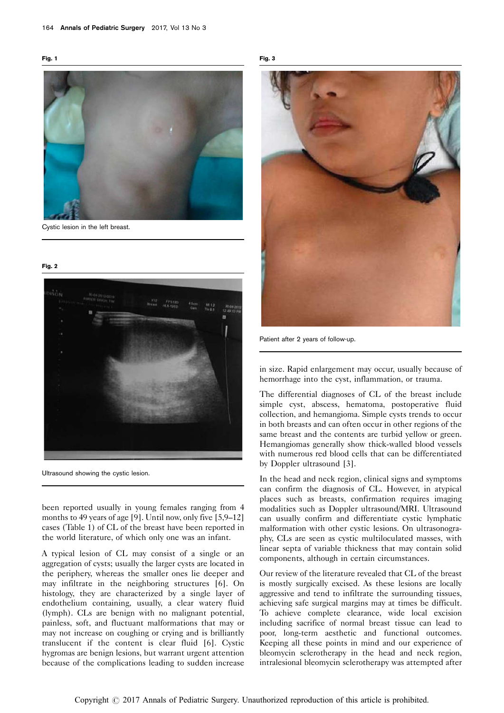<span id="page-1-0"></span>

Cystic lesion in the left breast.

Fig. 2



Ultrasound showing the cystic lesion.

been reported usually in young females ranging from 4 months to 49 years of age [\[9](#page-2-0)]. Until now, only five [\[5,9–12\]](#page-2-0) cases [\(Table 1](#page-2-0)) of CL of the breast have been reported in the world literature, of which only one was an infant.

A typical lesion of CL may consist of a single or an aggregation of cysts; usually the larger cysts are located in the periphery, whereas the smaller ones lie deeper and may infiltrate in the neighboring structures [\[6\]](#page-2-0). On histology, they are characterized by a single layer of endothelium containing, usually, a clear watery fluid (lymph). CLs are benign with no malignant potential, painless, soft, and fluctuant malformations that may or may not increase on coughing or crying and is brilliantly translucent if the content is clear fluid [\[6](#page-2-0)]. Cystic hygromas are benign lesions, but warrant urgent attention because of the complications leading to sudden increase





Patient after 2 years of follow-up.

in size. Rapid enlargement may occur, usually because of hemorrhage into the cyst, inflammation, or trauma.

The differential diagnoses of CL of the breast include simple cyst, abscess, hematoma, postoperative fluid collection, and hemangioma. Simple cysts trends to occur in both breasts and can often occur in other regions of the same breast and the contents are turbid yellow or green. Hemangiomas generally show thick-walled blood vessels with numerous red blood cells that can be differentiated by Doppler ultrasound [\[3](#page-2-0)].

In the head and neck region, clinical signs and symptoms can confirm the diagnosis of CL. However, in atypical places such as breasts, confirmation requires imaging modalities such as Doppler ultrasound/MRI. Ultrasound can usually confirm and differentiate cystic lymphatic malformation with other cystic lesions. On ultrasonography, CLs are seen as cystic multiloculated masses, with linear septa of variable thickness that may contain solid components, although in certain circumstances.

Our review of the literature revealed that CL of the breast is mostly surgically excised. As these lesions are locally aggressive and tend to infiltrate the surrounding tissues, achieving safe surgical margins may at times be difficult. To achieve complete clearance, wide local excision including sacrifice of normal breast tissue can lead to poor, long-term aesthetic and functional outcomes. Keeping all these points in mind and our experience of bleomycin sclerotherapy in the head and neck region, intralesional bleomycin sclerotherapy was attempted after